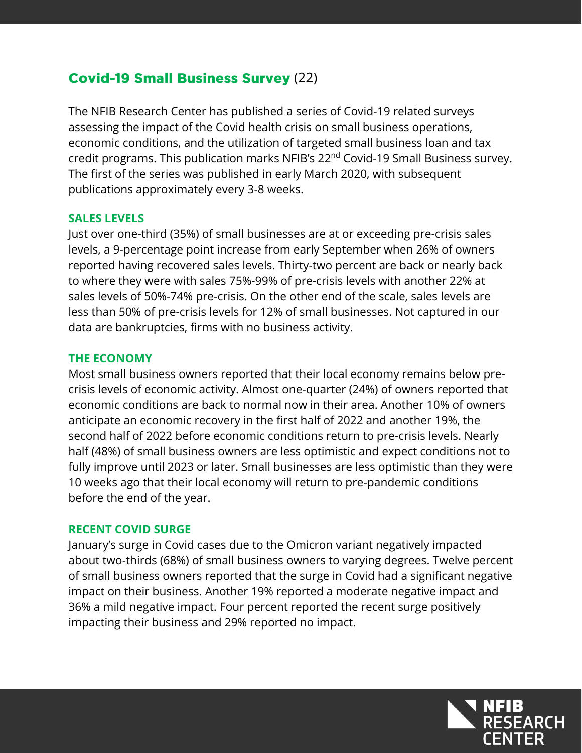# **Covid-19 Small Business Survey (22)**

The NFIB Research Center has published a series of Covid-19 related surveys assessing the impact of the Covid health crisis on small business operations, economic conditions, and the utilization of targeted small business loan and tax credit programs. This publication marks NFIB's 22<sup>nd</sup> Covid-19 Small Business survey. The first of the series was published in early March 2020, with subsequent publications approximately every 3-8 weeks.

#### **SALES LEVELS**

Just over one-third (35%) of small businesses are at or exceeding pre-crisis sales levels, a 9-percentage point increase from early September when 26% of owners reported having recovered sales levels. Thirty-two percent are back or nearly back to where they were with sales 75%-99% of pre-crisis levels with another 22% at sales levels of 50%-74% pre-crisis. On the other end of the scale, sales levels are less than 50% of pre-crisis levels for 12% of small businesses. Not captured in our data are bankruptcies, firms with no business activity.

#### **THE ECONOMY**

Most small business owners reported that their local economy remains below precrisis levels of economic activity. Almost one-quarter (24%) of owners reported that economic conditions are back to normal now in their area. Another 10% of owners anticipate an economic recovery in the first half of 2022 and another 19%, the second half of 2022 before economic conditions return to pre-crisis levels. Nearly half (48%) of small business owners are less optimistic and expect conditions not to fully improve until 2023 or later. Small businesses are less optimistic than they were 10 weeks ago that their local economy will return to pre-pandemic conditions before the end of the year.

### **RECENT COVID SURGE**

January's surge in Covid cases due to the Omicron variant negatively impacted about two-thirds (68%) of small business owners to varying degrees. Twelve percent of small business owners reported that the surge in Covid had a significant negative impact on their business. Another 19% reported a moderate negative impact and 36% a mild negative impact. Four percent reported the recent surge positively impacting their business and 29% reported no impact.

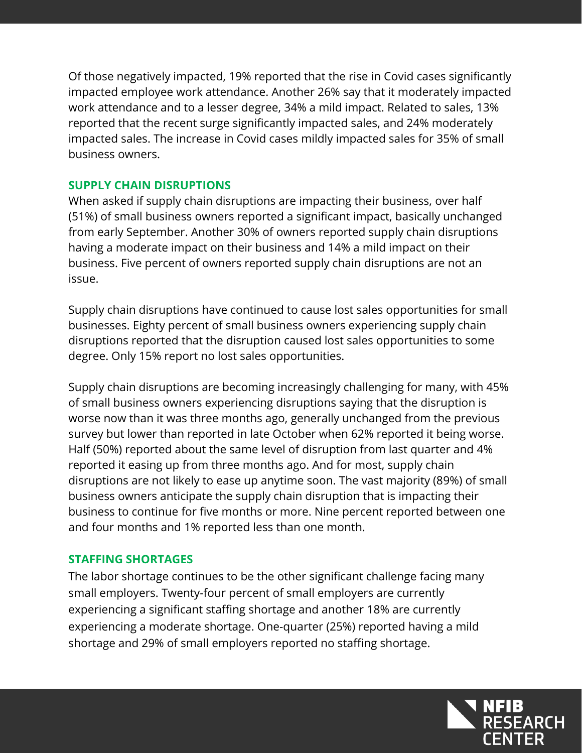Of those negatively impacted, 19% reported that the rise in Covid cases significantly impacted employee work attendance. Another 26% say that it moderately impacted work attendance and to a lesser degree, 34% a mild impact. Related to sales, 13% reported that the recent surge significantly impacted sales, and 24% moderately impacted sales. The increase in Covid cases mildly impacted sales for 35% of small business owners.

### **SUPPLY CHAIN DISRUPTIONS**

When asked if supply chain disruptions are impacting their business, over half (51%) of small business owners reported a significant impact, basically unchanged from early September. Another 30% of owners reported supply chain disruptions having a moderate impact on their business and 14% a mild impact on their business. Five percent of owners reported supply chain disruptions are not an issue.

Supply chain disruptions have continued to cause lost sales opportunities for small businesses. Eighty percent of small business owners experiencing supply chain disruptions reported that the disruption caused lost sales opportunities to some degree. Only 15% report no lost sales opportunities.

Supply chain disruptions are becoming increasingly challenging for many, with 45% of small business owners experiencing disruptions saying that the disruption is worse now than it was three months ago, generally unchanged from the previous survey but lower than reported in late October when 62% reported it being worse. Half (50%) reported about the same level of disruption from last quarter and 4% reported it easing up from three months ago. And for most, supply chain disruptions are not likely to ease up anytime soon. The vast majority (89%) of small business owners anticipate the supply chain disruption that is impacting their business to continue for five months or more. Nine percent reported between one and four months and 1% reported less than one month.

### **STAFFING SHORTAGES**

The labor shortage continues to be the other significant challenge facing many small employers. Twenty-four percent of small employers are currently experiencing a significant staffing shortage and another 18% are currently experiencing a moderate shortage. One-quarter (25%) reported having a mild shortage and 29% of small employers reported no staffing shortage.

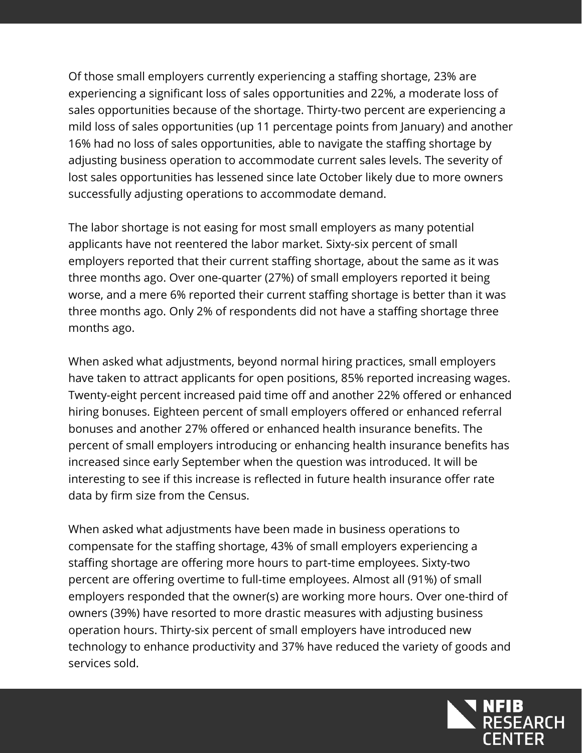Of those small employers currently experiencing a staffing shortage, 23% are experiencing a significant loss of sales opportunities and 22%, a moderate loss of sales opportunities because of the shortage. Thirty-two percent are experiencing a mild loss of sales opportunities (up 11 percentage points from January) and another 16% had no loss of sales opportunities, able to navigate the staffing shortage by adjusting business operation to accommodate current sales levels. The severity of lost sales opportunities has lessened since late October likely due to more owners successfully adjusting operations to accommodate demand.

The labor shortage is not easing for most small employers as many potential applicants have not reentered the labor market. Sixty-six percent of small employers reported that their current staffing shortage, about the same as it was three months ago. Over one-quarter (27%) of small employers reported it being worse, and a mere 6% reported their current staffing shortage is better than it was three months ago. Only 2% of respondents did not have a staffing shortage three months ago.

When asked what adjustments, beyond normal hiring practices, small employers have taken to attract applicants for open positions, 85% reported increasing wages. Twenty-eight percent increased paid time off and another 22% offered or enhanced hiring bonuses. Eighteen percent of small employers offered or enhanced referral bonuses and another 27% offered or enhanced health insurance benefits. The percent of small employers introducing or enhancing health insurance benefits has increased since early September when the question was introduced. It will be interesting to see if this increase is reflected in future health insurance offer rate data by firm size from the Census.

When asked what adjustments have been made in business operations to compensate for the staffing shortage, 43% of small employers experiencing a staffing shortage are offering more hours to part-time employees. Sixty-two percent are offering overtime to full-time employees. Almost all (91%) of small employers responded that the owner(s) are working more hours. Over one-third of owners (39%) have resorted to more drastic measures with adjusting business operation hours. Thirty-six percent of small employers have introduced new technology to enhance productivity and 37% have reduced the variety of goods and services sold.

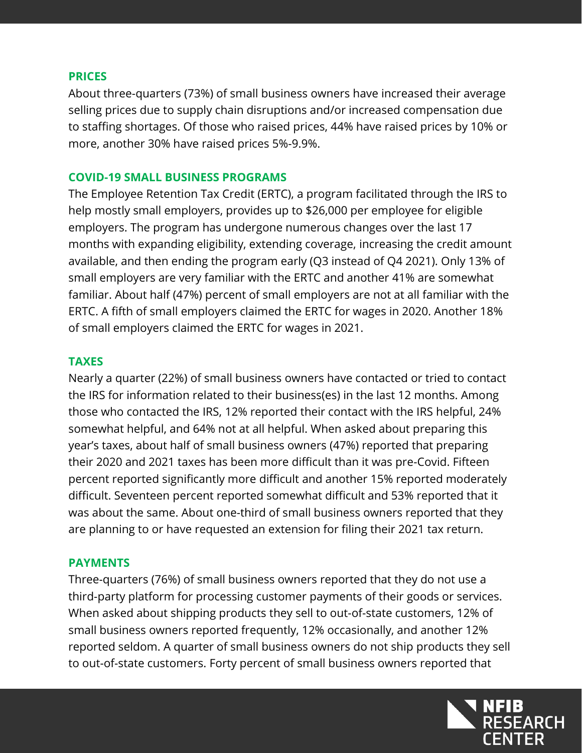#### **PRICES**

About three-quarters (73%) of small business owners have increased their average selling prices due to supply chain disruptions and/or increased compensation due to staffing shortages. Of those who raised prices, 44% have raised prices by 10% or more, another 30% have raised prices 5%-9.9%.

#### **COVID-19 SMALL BUSINESS PROGRAMS**

The Employee Retention Tax Credit (ERTC), a program facilitated through the IRS to help mostly small employers, provides up to \$26,000 per employee for eligible employers. The program has undergone numerous changes over the last 17 months with expanding eligibility, extending coverage, increasing the credit amount available, and then ending the program early (Q3 instead of Q4 2021). Only 13% of small employers are very familiar with the ERTC and another 41% are somewhat familiar. About half (47%) percent of small employers are not at all familiar with the ERTC. A fifth of small employers claimed the ERTC for wages in 2020. Another 18% of small employers claimed the ERTC for wages in 2021.

#### **TAXES**

Nearly a quarter (22%) of small business owners have contacted or tried to contact the IRS for information related to their business(es) in the last 12 months. Among those who contacted the IRS, 12% reported their contact with the IRS helpful, 24% somewhat helpful, and 64% not at all helpful. When asked about preparing this year's taxes, about half of small business owners (47%) reported that preparing their 2020 and 2021 taxes has been more difficult than it was pre-Covid. Fifteen percent reported significantly more difficult and another 15% reported moderately difficult. Seventeen percent reported somewhat difficult and 53% reported that it was about the same. About one-third of small business owners reported that they are planning to or have requested an extension for filing their 2021 tax return.

#### **PAYMENTS**

Three-quarters (76%) of small business owners reported that they do not use a third-party platform for processing customer payments of their goods or services. When asked about shipping products they sell to out-of-state customers, 12% of small business owners reported frequently, 12% occasionally, and another 12% reported seldom. A quarter of small business owners do not ship products they sell to out-of-state customers. Forty percent of small business owners reported that

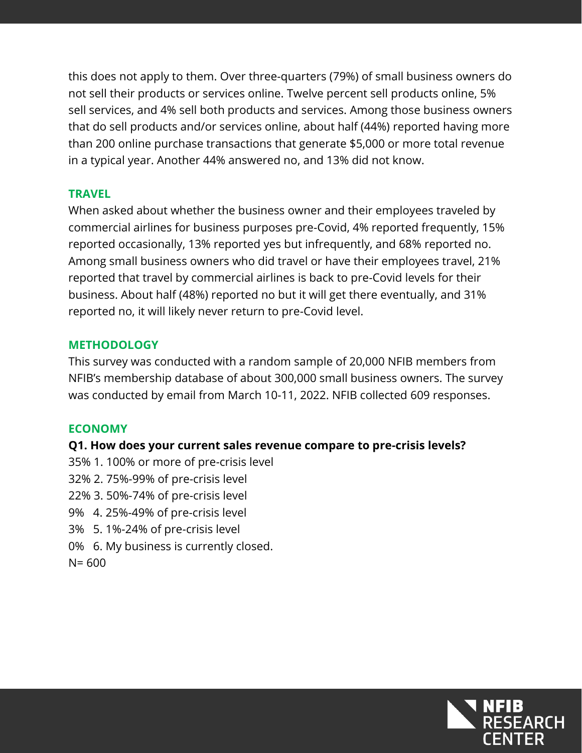this does not apply to them. Over three-quarters (79%) of small business owners do not sell their products or services online. Twelve percent sell products online, 5% sell services, and 4% sell both products and services. Among those business owners that do sell products and/or services online, about half (44%) reported having more than 200 online purchase transactions that generate \$5,000 or more total revenue in a typical year. Another 44% answered no, and 13% did not know.

### **TRAVEL**

When asked about whether the business owner and their employees traveled by commercial airlines for business purposes pre-Covid, 4% reported frequently, 15% reported occasionally, 13% reported yes but infrequently, and 68% reported no. Among small business owners who did travel or have their employees travel, 21% reported that travel by commercial airlines is back to pre-Covid levels for their business. About half (48%) reported no but it will get there eventually, and 31% reported no, it will likely never return to pre-Covid level.

## **METHODOLOGY**

This survey was conducted with a random sample of 20,000 NFIB members from NFIB's membership database of about 300,000 small business owners. The survey was conducted by email from March 10-11, 2022. NFIB collected 609 responses.

### **ECONOMY**

### **Q1. How does your current sales revenue compare to pre-crisis levels?**

- 35% 1. 100% or more of pre-crisis level
- 32% 2. 75%-99% of pre-crisis level
- 22% 3. 50%-74% of pre-crisis level
- 9% 4. 25%-49% of pre-crisis level
- 3% 5. 1%-24% of pre-crisis level
- 0% 6. My business is currently closed.

 $N = 600$ 

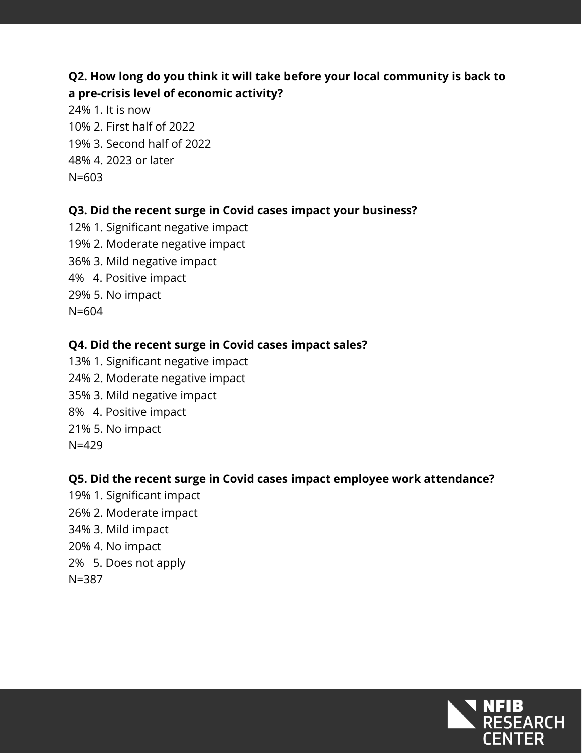# **Q2. How long do you think it will take before your local community is back to a pre-crisis level of economic activity?**

24% 1. It is now 10% 2. First half of 2022 19% 3. Second half of 2022 48% 4. 2023 or later N=603

### **Q3. Did the recent surge in Covid cases impact your business?**

12% 1. Significant negative impact 19% 2. Moderate negative impact 36% 3. Mild negative impact 4% 4. Positive impact 29% 5. No impact N=604

### **Q4. Did the recent surge in Covid cases impact sales?**

13% 1. Significant negative impact 24% 2. Moderate negative impact 35% 3. Mild negative impact 8% 4. Positive impact 21% 5. No impact N=429

### **Q5. Did the recent surge in Covid cases impact employee work attendance?**

19% 1. Significant impact 26% 2. Moderate impact 34% 3. Mild impact 20% 4. No impact 2% 5. Does not apply N=387

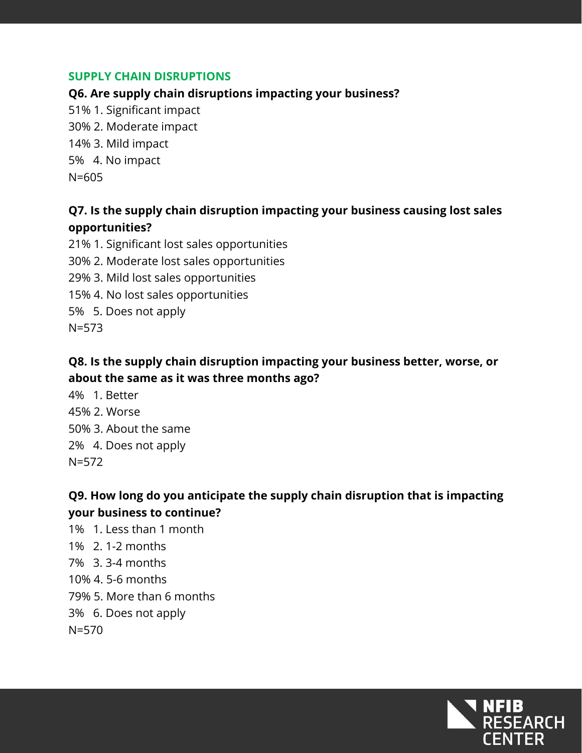### **SUPPLY CHAIN DISRUPTIONS**

**Q6. Are supply chain disruptions impacting your business?**

51% 1. Significant impact 30% 2. Moderate impact 14% 3. Mild impact 5% 4. No impact N=605

# **Q7. Is the supply chain disruption impacting your business causing lost sales opportunities?**

21% 1. Significant lost sales opportunities 30% 2. Moderate lost sales opportunities 29% 3. Mild lost sales opportunities 15% 4. No lost sales opportunities 5% 5. Does not apply N=573

### **Q8. Is the supply chain disruption impacting your business better, worse, or about the same as it was three months ago?**

4% 1. Better 45% 2. Worse 50% 3. About the same 2% 4. Does not apply  $N=572$ 

# **Q9. How long do you anticipate the supply chain disruption that is impacting your business to continue?**

1% 1. Less than 1 month 1% 2. 1-2 months 7% 3. 3-4 months 10% 4. 5-6 months 79% 5. More than 6 months 3% 6. Does not apply N=570

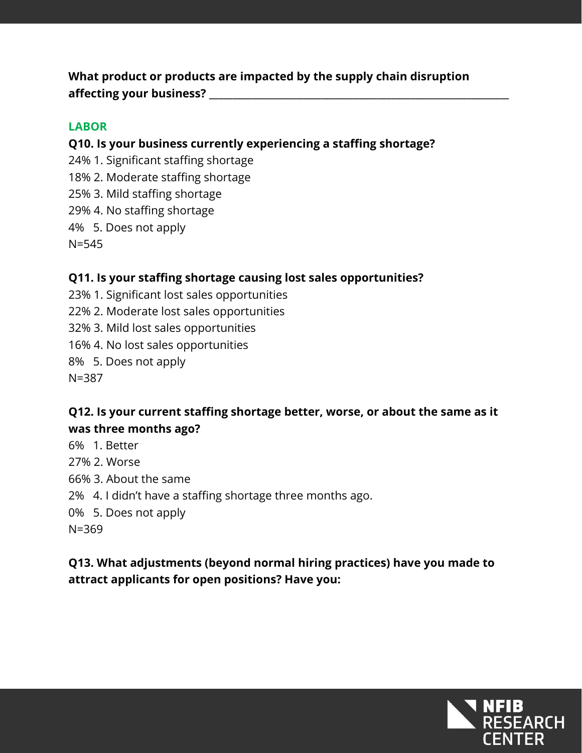**What product or products are impacted by the supply chain disruption affecting your business? \_\_\_\_\_\_\_\_\_\_\_\_\_\_\_\_\_\_\_\_\_\_\_\_\_\_\_\_\_\_\_\_\_\_\_\_\_\_\_\_\_\_\_\_\_\_\_\_\_\_\_\_\_\_\_\_\_\_\_\_\_\_\_\_**

### **LABOR**

**Q10. Is your business currently experiencing a staffing shortage?**

24% 1. Significant staffing shortage 18% 2. Moderate staffing shortage 25% 3. Mild staffing shortage 29% 4. No staffing shortage 4% 5. Does not apply N=545

### **Q11. Is your staffing shortage causing lost sales opportunities?**

23% 1. Significant lost sales opportunities 22% 2. Moderate lost sales opportunities 32% 3. Mild lost sales opportunities 16% 4. No lost sales opportunities 8% 5. Does not apply N=387

# **Q12. Is your current staffing shortage better, worse, or about the same as it was three months ago?**

- 6% 1. Better
- 27% 2. Worse
- 66% 3. About the same
- 2% 4. I didn't have a staffing shortage three months ago.
- 0% 5. Does not apply
- N=369

# **Q13. What adjustments (beyond normal hiring practices) have you made to attract applicants for open positions? Have you:**

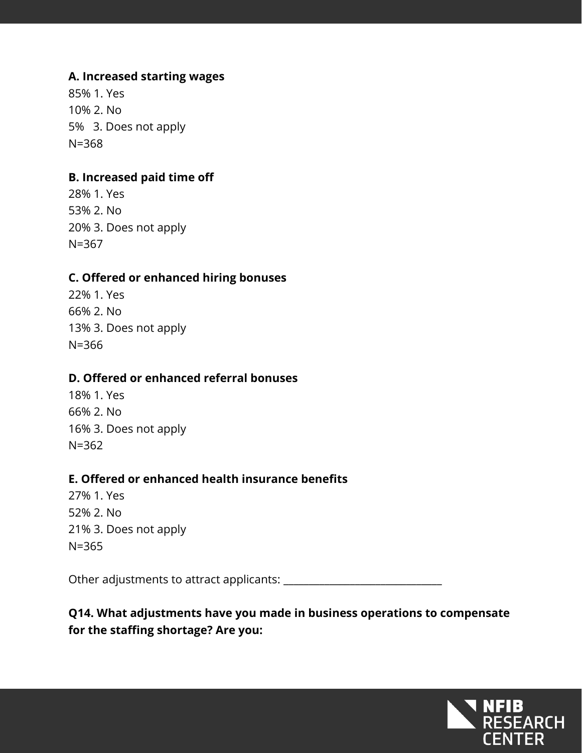### **A. Increased starting wages**

85% 1. Yes 10% 2. No 5% 3. Does not apply N=368

### **B. Increased paid time off**

28% 1. Yes 53% 2. No 20% 3. Does not apply N=367

#### **C. Offered or enhanced hiring bonuses**

22% 1. Yes 66% 2. No 13% 3. Does not apply N=366

#### **D. Offered or enhanced referral bonuses**

18% 1. Yes 66% 2. No 16% 3. Does not apply N=362

#### **E. Offered or enhanced health insurance benefits**

27% 1. Yes 52% 2. No 21% 3. Does not apply N=365

Other adjustments to attract applicants: \_\_\_\_\_\_\_\_\_\_\_\_\_\_\_\_\_\_\_\_\_\_\_\_\_\_\_\_\_\_\_

# **Q14. What adjustments have you made in business operations to compensate for the staffing shortage? Are you:**

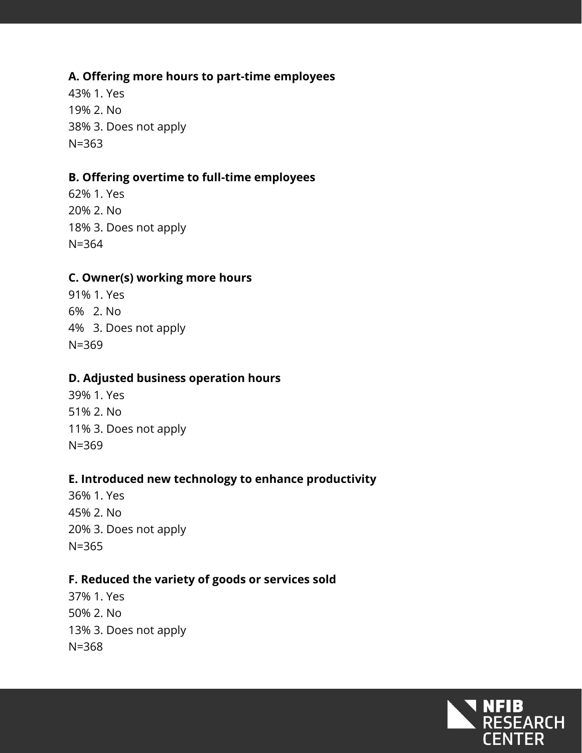### **A. Offering more hours to part-time employees**

43% 1. Yes 19% 2. No 38% 3. Does not apply N=363

#### **B. Offering overtime to full-time employees**

62% 1. Yes 20% 2. No 18% 3. Does not apply N=364

#### **C. Owner(s) working more hours**

91% 1. Yes 6% 2. No 4% 3. Does not apply N=369

### **D. Adjusted business operation hours**

39% 1. Yes 51% 2. No 11% 3. Does not apply N=369

### **E. Introduced new technology to enhance productivity**

36% 1. Yes 45% 2. No 20% 3. Does not apply N=365

#### **F. Reduced the variety of goods or services sold**

37% 1. Yes 50% 2. No 13% 3. Does not apply N=368

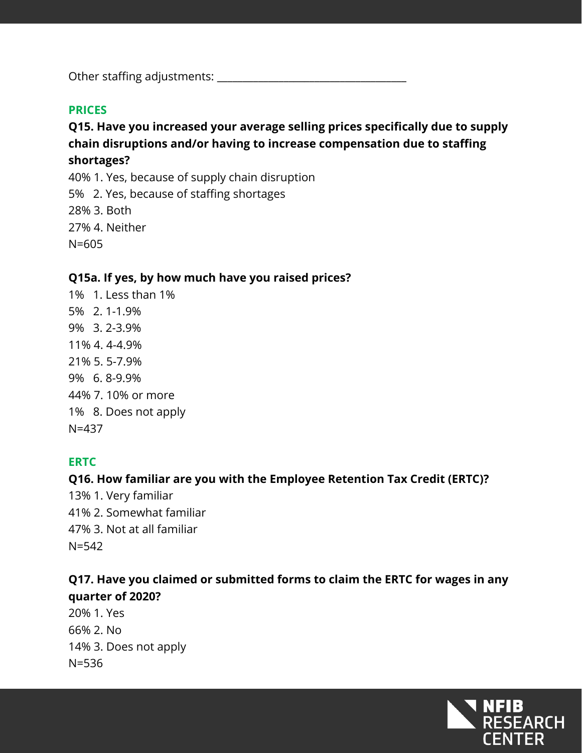Other staffing adjustments: \_\_\_\_\_\_\_\_\_\_\_\_\_\_\_\_\_\_\_\_\_\_\_\_\_\_\_\_\_\_\_\_\_\_\_\_\_

### **PRICES**

# **Q15. Have you increased your average selling prices specifically due to supply chain disruptions and/or having to increase compensation due to staffing shortages?**

40% 1. Yes, because of supply chain disruption 5% 2. Yes, because of staffing shortages 28% 3. Both 27% 4. Neither N=605

### **Q15a. If yes, by how much have you raised prices?**

1% 1. Less than 1% 5% 2. 1-1.9% 9% 3. 2-3.9% 11% 4. 4-4.9% 21% 5. 5-7.9% 9% 6. 8-9.9% 44% 7. 10% or more 1% 8. Does not apply N=437

### **ERTC**

# **Q16. How familiar are you with the Employee Retention Tax Credit (ERTC)?**

13% 1. Very familiar 41% 2. Somewhat familiar 47% 3. Not at all familiar N=542

## **Q17. Have you claimed or submitted forms to claim the ERTC for wages in any quarter of 2020?**

20% 1. Yes 66% 2. No 14% 3. Does not apply N=536

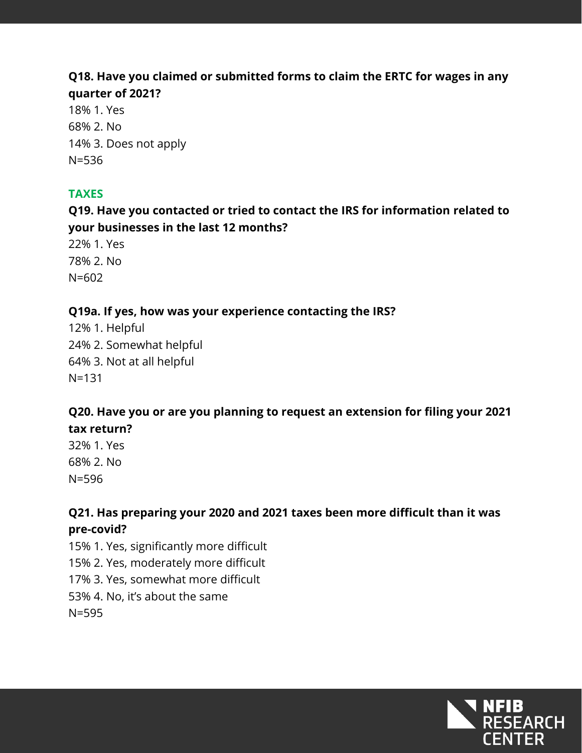## **Q18. Have you claimed or submitted forms to claim the ERTC for wages in any quarter of 2021?**

18% 1. Yes 68% 2. No 14% 3. Does not apply N=536

## **TAXES**

**Q19. Have you contacted or tried to contact the IRS for information related to your businesses in the last 12 months?** 

22% 1. Yes 78% 2. No N=602

## **Q19a. If yes, how was your experience contacting the IRS?**

12% 1. Helpful 24% 2. Somewhat helpful 64% 3. Not at all helpful N=131

# **Q20. Have you or are you planning to request an extension for filing your 2021 tax return?**

32% 1. Yes 68% 2. No N=596

**Q21. Has preparing your 2020 and 2021 taxes been more difficult than it was pre-covid?** 

15% 1. Yes, significantly more difficult

15% 2. Yes, moderately more difficult

17% 3. Yes, somewhat more difficult

53% 4. No, it's about the same

N=595

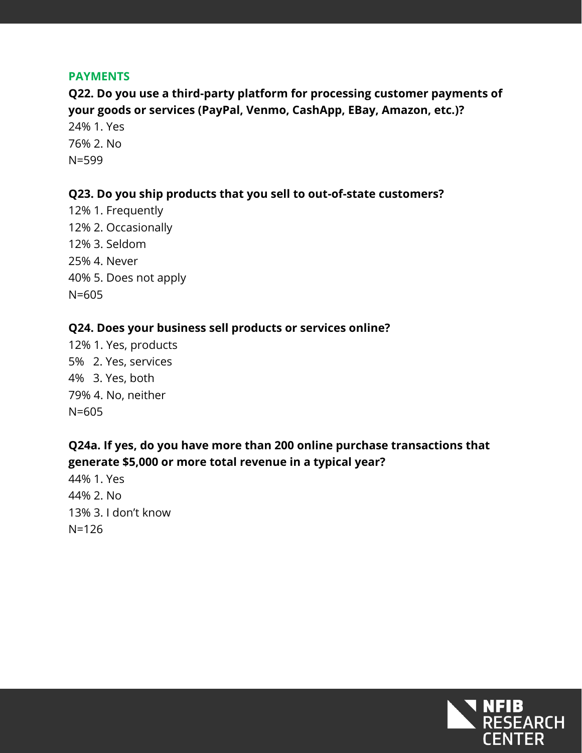#### **PAYMENTS**

**Q22. Do you use a third-party platform for processing customer payments of your goods or services (PayPal, Venmo, CashApp, EBay, Amazon, etc.)?**

24% 1. Yes 76% 2. No N=599

#### **Q23. Do you ship products that you sell to out-of-state customers?**

12% 1. Frequently 12% 2. Occasionally 12% 3. Seldom 25% 4. Never 40% 5. Does not apply N=605

#### **Q24. Does your business sell products or services online?**

12% 1. Yes, products 5% 2. Yes, services 4% 3. Yes, both 79% 4. No, neither N=605

### **Q24a. If yes, do you have more than 200 online purchase transactions that generate \$5,000 or more total revenue in a typical year?**

44% 1. Yes 44% 2. No 13% 3. I don't know N=126

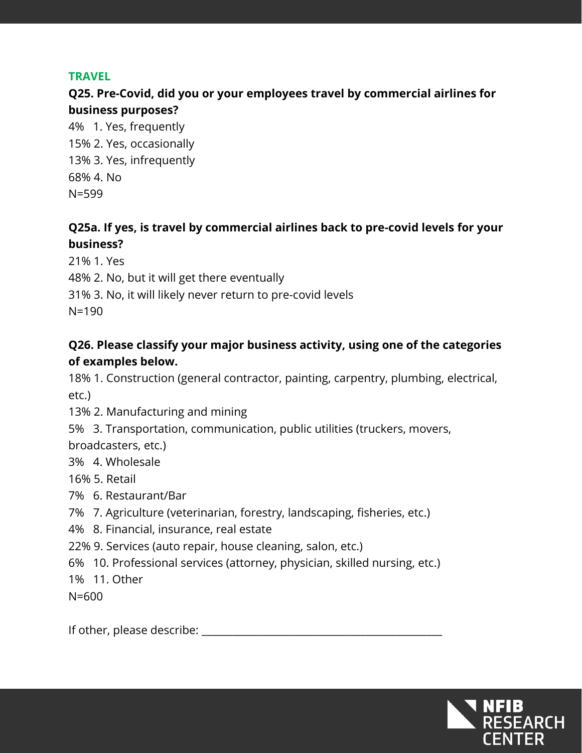#### **TRAVEL**

# **Q25. Pre-Covid, did you or your employees travel by commercial airlines for business purposes?**

4% 1. Yes, frequently 15% 2. Yes, occasionally 13% 3. Yes, infrequently 68% 4. No N=599

# **Q25a. If yes, is travel by commercial airlines back to pre-covid levels for your business?**

21% 1. Yes 48% 2. No, but it will get there eventually 31% 3. No, it will likely never return to pre-covid levels N=190

# **Q26. Please classify your major business activity, using one of the categories of examples below.**

18% 1. Construction (general contractor, painting, carpentry, plumbing, electrical, etc.)

- 13% 2. Manufacturing and mining
- 5% 3. Transportation, communication, public utilities (truckers, movers,

broadcasters, etc.)

- 3% 4. Wholesale
- 16% 5. Retail
- 7% 6. Restaurant/Bar
- 7% 7. Agriculture (veterinarian, forestry, landscaping, fisheries, etc.)
- 4% 8. Financial, insurance, real estate
- 22% 9. Services (auto repair, house cleaning, salon, etc.)
- 6% 10. Professional services (attorney, physician, skilled nursing, etc.)

1% 11. Other

N=600

If other, please describe: